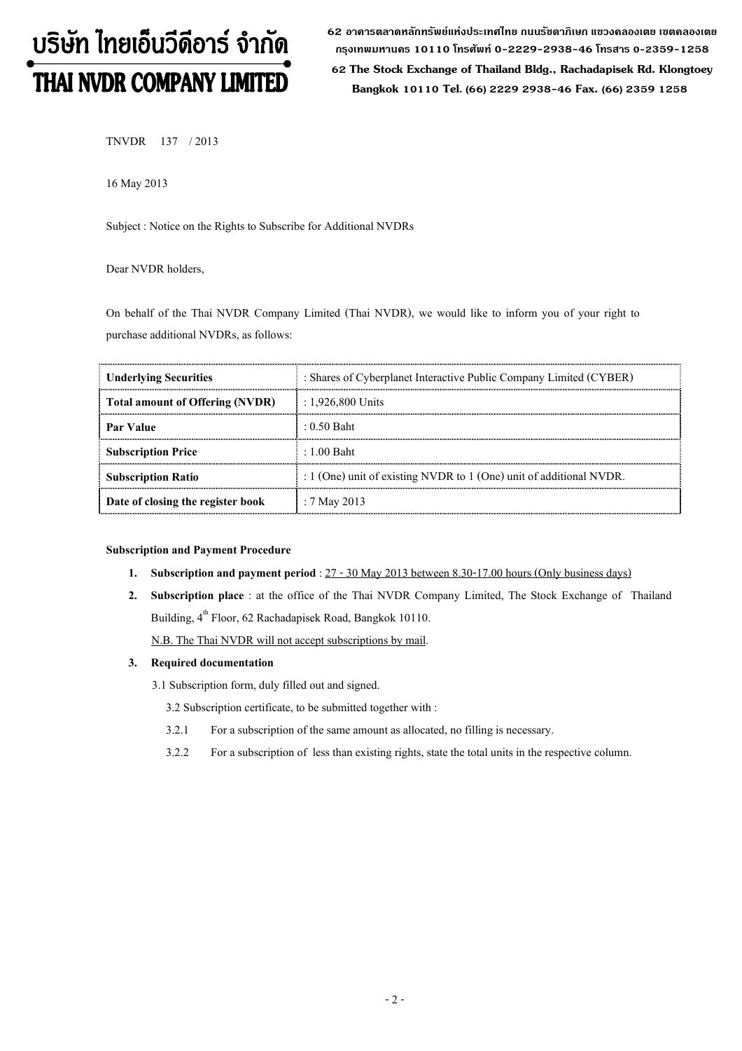# บริษัท ไทยเอ็นวีดีอาร์ จำกัด THAI NVDR COMPANY LIMITED

62 อาดารตลาดหลักทรัพย์แห่งประเทศไทย ถนนรัชดาภิเษก แขวงดลองเตย เขตดลองเตย กรุงเทพมหานดร 10110 โทรศัพท์ 0-2229-2938-46 โทรสาร 0-2359-1258

 62 The Stock Exchange of Thailand Bldg., Rachadapisek Rd. Klongtoey Bangkok 10110 Tel. (66) 2229 2938-46 Fax. (66) 2359 1258

TNVDR 137 / 2013

16 May 2013

Subject : Notice on the Rights to Subscribe for Additional NVDRs

## Dear NVDR holders,

On behalf of the Thai NVDR Company Limited (Thai NVDR), we would like to inform you of your right to purchase additional NVDRs, as follows:

| <b>Underlying Securities</b>      | : Shares of Cyberplanet Interactive Public Company Limited (CYBER)      |  |
|-----------------------------------|-------------------------------------------------------------------------|--|
| Total amount of Offering (NVDR)   | : $1.926,800$ Units                                                     |  |
| Par Value                         | $: 0.50$ Baht                                                           |  |
| <b>Subscription Price</b>         | $\pm 1.00$ Baht                                                         |  |
| <b>Subscription Ratio</b>         | : $1$ (One) unit of existing NVDR to $1$ (One) unit of additional NVDR. |  |
| Date of closing the register book | : 7 May 2013                                                            |  |

#### Subscription and Payment Procedure

- 1. Subscription and payment period :  $27 30$  May 2013 between 8.30-17.00 hours (Only business days)
- 2. Subscription place : at the office of the Thai NVDR Company Limited, The Stock Exchange of Thailand Building, 4<sup>th</sup> Floor, 62 Rachadapisek Road, Bangkok 10110.

N.B. The Thai NVDR will not accept subscriptions by mail.

## 3. Required documentation

3.1 Subscription form, duly filled out and signed.

3.2 Subscription certificate, to be submitted together with :

- 3.2.1 For a subscription of the same amount as allocated, no filling is necessary.
- 3.2.2 For a subscription of less than existing rights, state the total units in the respective column.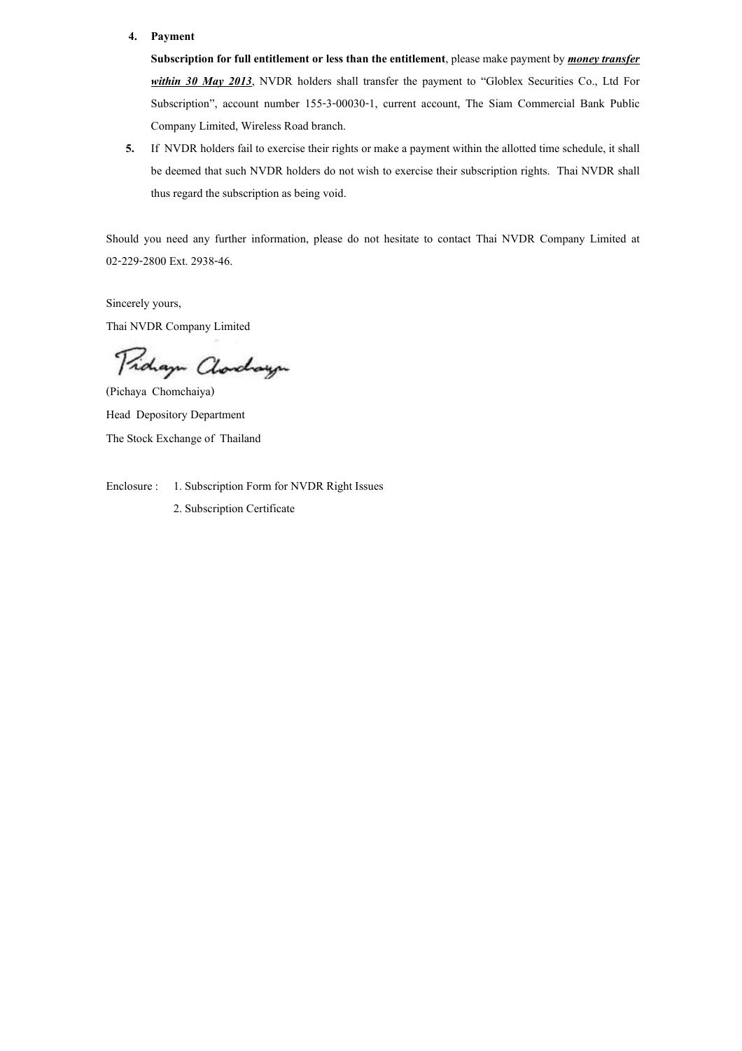### 4. Payment

Subscription for full entitlement or less than the entitlement, please make payment by *money transfer* within 30 May 2013, NVDR holders shall transfer the payment to "Globlex Securities Co., Ltd For Subscription?, account number 155-3-00030-1, current account, The Siam Commercial Bank Public Company Limited, Wireless Road branch.

5. If NVDR holders fail to exercise their rights or make a payment within the allotted time schedule, it shall be deemed that such NVDR holders do not wish to exercise their subscription rights. Thai NVDR shall thus regard the subscription as being void.

Should you need any further information, please do not hesitate to contact Thai NVDR Company Limited at 02-229-2800 Ext. 2938-46.

Sincerely yours, Thai NVDR Company Limited

Pidaya Clarchaya

(Pichaya Chomchaiya) Head Depository Department The Stock Exchange of Thailand

Enclosure : 1. Subscription Form for NVDR Right Issues 2. Subscription Certificate